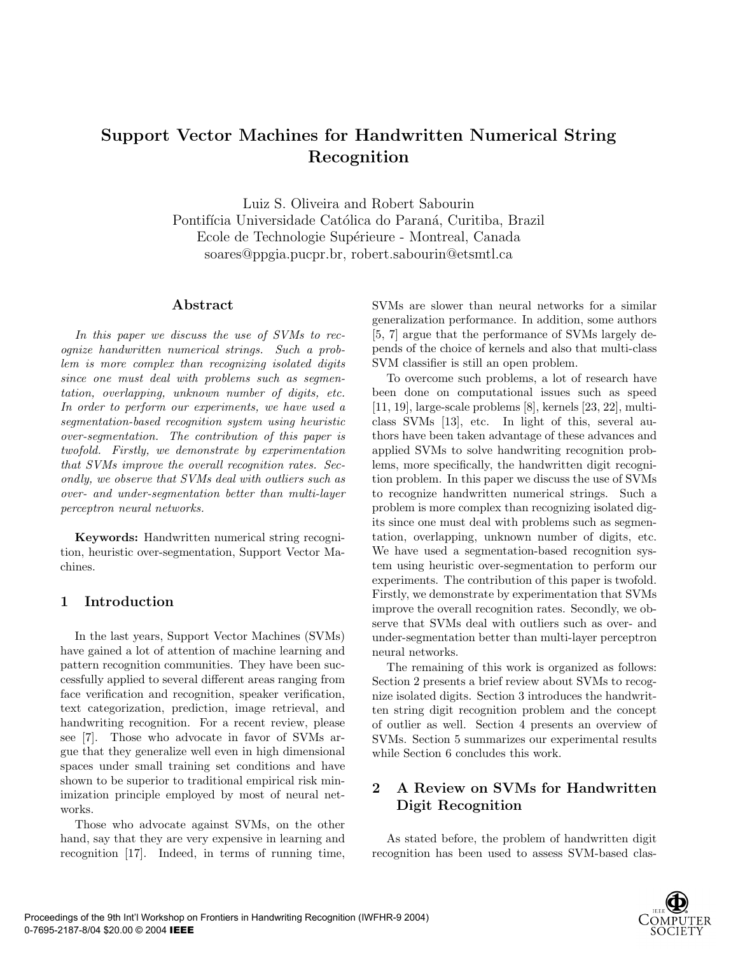# Support Vector Machines for Handwritten Numerical String Recognition

Luiz S. Oliveira and Robert Sabourin Pontifícia Universidade Católica do Paraná, Curitiba, Brazil Ecole de Technologie Supérieure - Montreal, Canada soares@ppgia.pucpr.br, robert.sabourin@etsmtl.ca

## Abstract

In this paper we discuss the use of SVMs to recognize handwritten numerical strings. Such a problem is more complex than recognizing isolated digits since one must deal with problems such as segmentation, overlapping, unknown number of digits, etc. In order to perform our experiments, we have used a segmentation-based recognition system using heuristic over-segmentation. The contribution of this paper is twofold. Firstly, we demonstrate by experimentation that SVMs improve the overall recognition rates. Secondly, we observe that SVMs deal with outliers such as over- and under-segmentation better than multi-layer perceptron neural networks.

Keywords: Handwritten numerical string recognition, heuristic over-segmentation, Support Vector Machines.

## 1 Introduction

In the last years, Support Vector Machines (SVMs) have gained a lot of attention of machine learning and pattern recognition communities. They have been successfully applied to several different areas ranging from face verification and recognition, speaker verification, text categorization, prediction, image retrieval, and handwriting recognition. For a recent review, please see [7]. Those who advocate in favor of SVMs argue that they generalize well even in high dimensional spaces under small training set conditions and have shown to be superior to traditional empirical risk minimization principle employed by most of neural networks.

Those who advocate against SVMs, on the other hand, say that they are very expensive in learning and recognition [17]. Indeed, in terms of running time, SVMs are slower than neural networks for a similar generalization performance. In addition, some authors [5, 7] argue that the performance of SVMs largely depends of the choice of kernels and also that multi-class SVM classifier is still an open problem.

To overcome such problems, a lot of research have been done on computational issues such as speed [11, 19], large-scale problems [8], kernels [23, 22], multiclass SVMs [13], etc. In light of this, several authors have been taken advantage of these advances and applied SVMs to solve handwriting recognition problems, more specifically, the handwritten digit recognition problem. In this paper we discuss the use of SVMs to recognize handwritten numerical strings. Such a problem is more complex than recognizing isolated digits since one must deal with problems such as segmentation, overlapping, unknown number of digits, etc. We have used a segmentation-based recognition system using heuristic over-segmentation to perform our experiments. The contribution of this paper is twofold. Firstly, we demonstrate by experimentation that SVMs improve the overall recognition rates. Secondly, we observe that SVMs deal with outliers such as over- and under-segmentation better than multi-layer perceptron neural networks.

The remaining of this work is organized as follows: Section 2 presents a brief review about SVMs to recognize isolated digits. Section 3 introduces the handwritten string digit recognition problem and the concept of outlier as well. Section 4 presents an overview of SVMs. Section 5 summarizes our experimental results while Section 6 concludes this work.

# 2 A Review on SVMs for Handwritten Digit Recognition

As stated before, the problem of handwritten digit recognition has been used to assess SVM-based clas-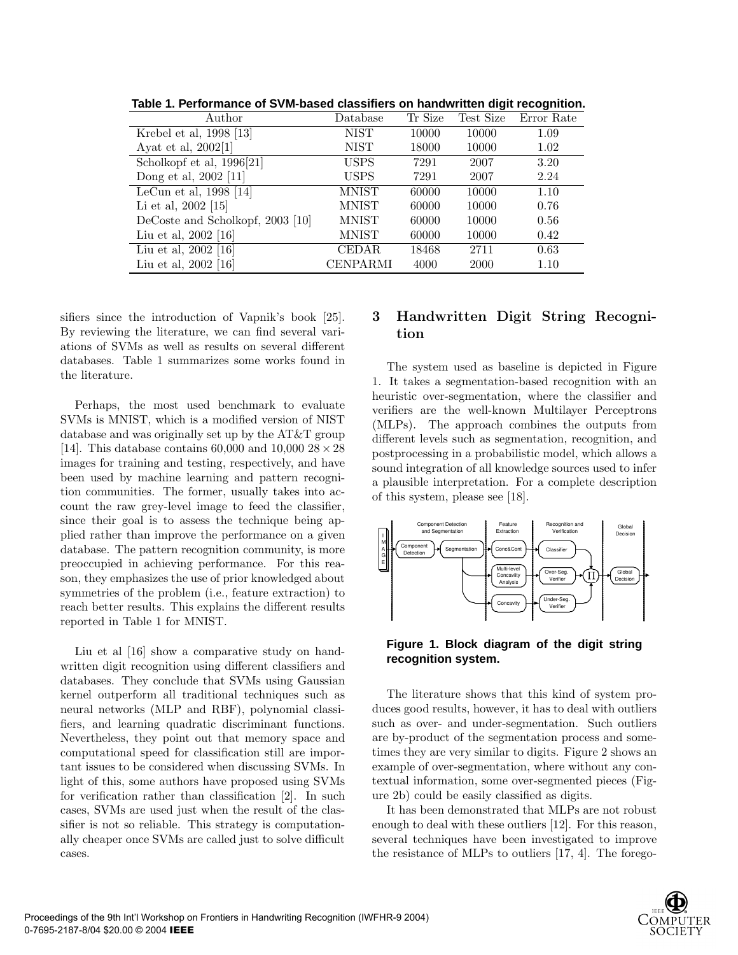|                                  |              |         |           | ີ          |
|----------------------------------|--------------|---------|-----------|------------|
| Author                           | Database     | Tr Size | Test Size | Error Rate |
| Krebel et al, 1998 [13]          | NIST         | 10000   | 10000     | 1.09       |
| Ayat et al, 2002[1]              | <b>NIST</b>  | 18000   | 10000     | 1.02       |
| Scholkopf et al, 1996[21]        | <b>USPS</b>  | 7291    | 2007      | 3.20       |
| Dong et al, 2002 [11]            | <b>USPS</b>  | 7291    | 2007      | 2.24       |
| LeCun et al, $1998$ [14]         | <b>MNIST</b> | 60000   | 10000     | 1.10       |
| Li et al, 2002 [15]              | MNIST        | 60000   | 10000     | 0.76       |
| DeCoste and Scholkopf, 2003 [10] | MNIST        | 60000   | 10000     | 0.56       |
| Liu et al, 2002 [16]             | MNIST        | 60000   | 10000     | 0.42       |
| Liu et al, 2002 [16]             | CEDAR        | 18468   | 2711      | 0.63       |
| Liu et al, 2002 [16]             | CENPARMI     | 4000    | 2000      | 1.10       |

**Table 1. Performance of SVM-based classifiers on handwritten digit recognition.**

sifiers since the introduction of Vapnik's book [25]. By reviewing the literature, we can find several variations of SVMs as well as results on several different databases. Table 1 summarizes some works found in the literature.

Perhaps, the most used benchmark to evaluate SVMs is MNIST, which is a modified version of NIST database and was originally set up by the AT&T group [14]. This database contains 60,000 and 10,000  $28 \times 28$ images for training and testing, respectively, and have been used by machine learning and pattern recognition communities. The former, usually takes into account the raw grey-level image to feed the classifier, since their goal is to assess the technique being applied rather than improve the performance on a given database. The pattern recognition community, is more preoccupied in achieving performance. For this reason, they emphasizes the use of prior knowledged about symmetries of the problem (i.e., feature extraction) to reach better results. This explains the different results reported in Table 1 for MNIST.

Liu et al [16] show a comparative study on handwritten digit recognition using different classifiers and databases. They conclude that SVMs using Gaussian kernel outperform all traditional techniques such as neural networks (MLP and RBF), polynomial classifiers, and learning quadratic discriminant functions. Nevertheless, they point out that memory space and computational speed for classification still are important issues to be considered when discussing SVMs. In light of this, some authors have proposed using SVMs for verification rather than classification [2]. In such cases, SVMs are used just when the result of the classifier is not so reliable. This strategy is computationally cheaper once SVMs are called just to solve difficult cases.

# 3 Handwritten Digit String Recognition

The system used as baseline is depicted in Figure 1. It takes a segmentation-based recognition with an heuristic over-segmentation, where the classifier and verifiers are the well-known Multilayer Perceptrons (MLPs). The approach combines the outputs from different levels such as segmentation, recognition, and postprocessing in a probabilistic model, which allows a sound integration of all knowledge sources used to infer a plausible interpretation. For a complete description of this system, please see [18].





The literature shows that this kind of system produces good results, however, it has to deal with outliers such as over- and under-segmentation. Such outliers are by-product of the segmentation process and sometimes they are very similar to digits. Figure 2 shows an example of over-segmentation, where without any contextual information, some over-segmented pieces (Figure 2b) could be easily classified as digits.

It has been demonstrated that MLPs are not robust enough to deal with these outliers [12]. For this reason, several techniques have been investigated to improve the resistance of MLPs to outliers [17, 4]. The forego-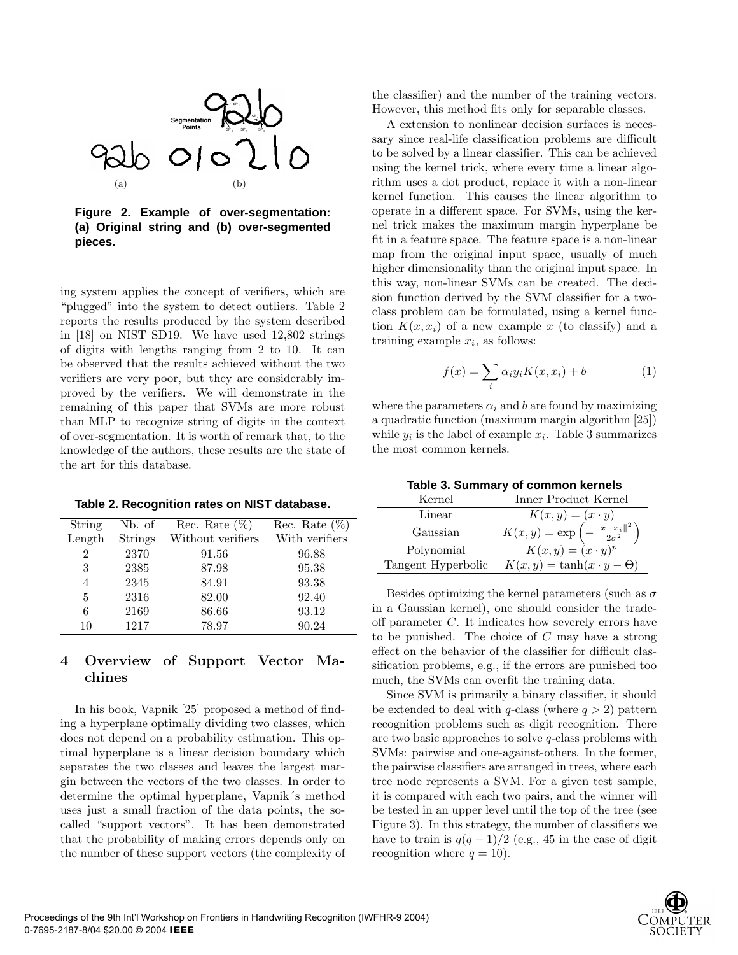

**Figure 2. Example of over-segmentation: (a) Original string and (b) over-segmented pieces.**

ing system applies the concept of verifiers, which are "plugged" into the system to detect outliers. Table 2 reports the results produced by the system described in [18] on NIST SD19. We have used 12,802 strings of digits with lengths ranging from 2 to 10. It can be observed that the results achieved without the two verifiers are very poor, but they are considerably improved by the verifiers. We will demonstrate in the remaining of this paper that SVMs are more robust than MLP to recognize string of digits in the context of over-segmentation. It is worth of remark that, to the knowledge of the authors, these results are the state of the art for this database.

|  | Table 2. Recognition rates on NIST database. |  |  |  |
|--|----------------------------------------------|--|--|--|
|--|----------------------------------------------|--|--|--|

| String | Nb. of         | Rec. Rate $(\%)$  | Rec. Rate $(\%)$ |
|--------|----------------|-------------------|------------------|
| Length | <b>Strings</b> | Without verifiers | With verifiers   |
| 2      | 2370           | 91.56             | 96.88            |
| 3      | 2385           | 87.98             | 95.38            |
| 4      | 2345           | 84.91             | 93.38            |
| 5      | 2316           | 82.00             | 92.40            |
| 6      | 2169           | 86.66             | 93.12            |
| 10     | 1217           | 78.97             | 90.24            |

# 4 Overview of Support Vector Machines

In his book, Vapnik [25] proposed a method of finding a hyperplane optimally dividing two classes, which does not depend on a probability estimation. This optimal hyperplane is a linear decision boundary which separates the two classes and leaves the largest margin between the vectors of the two classes. In order to determine the optimal hyperplane, Vapnik´s method uses just a small fraction of the data points, the socalled "support vectors". It has been demonstrated that the probability of making errors depends only on the number of these support vectors (the complexity of the classifier) and the number of the training vectors. However, this method fits only for separable classes.

A extension to nonlinear decision surfaces is necessary since real-life classification problems are difficult to be solved by a linear classifier. This can be achieved using the kernel trick, where every time a linear algorithm uses a dot product, replace it with a non-linear kernel function. This causes the linear algorithm to operate in a different space. For SVMs, using the kernel trick makes the maximum margin hyperplane be fit in a feature space. The feature space is a non-linear map from the original input space, usually of much higher dimensionality than the original input space. In this way, non-linear SVMs can be created. The decision function derived by the SVM classifier for a twoclass problem can be formulated, using a kernel function  $K(x, x_i)$  of a new example x (to classify) and a training example  $x_i$ , as follows:

$$
f(x) = \sum_{i} \alpha_i y_i K(x, x_i) + b \tag{1}
$$

where the parameters  $\alpha_i$  and b are found by maximizing a quadratic function (maximum margin algorithm [25]) while  $y_i$  is the label of example  $x_i$ . Table 3 summarizes the most common kernels.

| Table 3. Summary of common kernels |  |  |
|------------------------------------|--|--|
|------------------------------------|--|--|

| Kernel             | Inner Product Kernel                                           |
|--------------------|----------------------------------------------------------------|
| Linear             | $K(x,y) = (x \cdot y)$                                         |
| Gaussian           | $K(x, y) = \exp \left(-\frac{\ x - x_i\ ^2}{2\sigma^2}\right)$ |
| Polynomial         | $K(x, y) = (x \cdot y)^p$                                      |
| Tangent Hyperbolic | $K(x, y) = \tanh(x \cdot y - \Theta)$                          |
|                    |                                                                |

Besides optimizing the kernel parameters (such as  $\sigma$ in a Gaussian kernel), one should consider the tradeoff parameter C. It indicates how severely errors have to be punished. The choice of  $C$  may have a strong effect on the behavior of the classifier for difficult classification problems, e.g., if the errors are punished too much, the SVMs can overfit the training data.

Since SVM is primarily a binary classifier, it should be extended to deal with q-class (where  $q > 2$ ) pattern recognition problems such as digit recognition. There are two basic approaches to solve q-class problems with SVMs: pairwise and one-against-others. In the former, the pairwise classifiers are arranged in trees, where each tree node represents a SVM. For a given test sample, it is compared with each two pairs, and the winner will be tested in an upper level until the top of the tree (see Figure 3). In this strategy, the number of classifiers we have to train is  $q(q-1)/2$  (e.g., 45 in the case of digit recognition where  $q = 10$ ).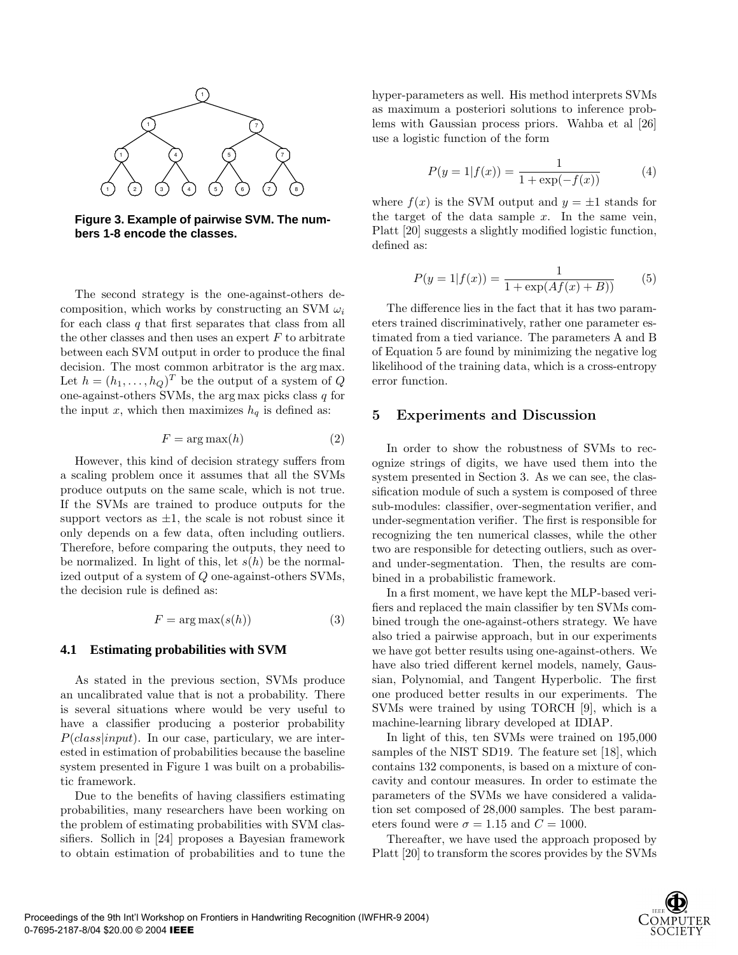

**Figure 3. Example of pairwise SVM. The numbers 1-8 encode the classes.**

The second strategy is the one-against-others decomposition, which works by constructing an SVM  $\omega_i$ for each class  $q$  that first separates that class from all the other classes and then uses an expert  $F$  to arbitrate between each SVM output in order to produce the final decision. The most common arbitrator is the arg max. Let  $h = (h_1, \ldots, h_Q)^T$  be the output of a system of Q one-against-others SVMs, the arg max picks class  $q$  for the input x, which then maximizes  $h_q$  is defined as:

$$
F = \arg \max(h) \tag{2}
$$

However, this kind of decision strategy suffers from a scaling problem once it assumes that all the SVMs produce outputs on the same scale, which is not true. If the SVMs are trained to produce outputs for the support vectors as  $\pm 1$ , the scale is not robust since it only depends on a few data, often including outliers. Therefore, before comparing the outputs, they need to be normalized. In light of this, let  $s(h)$  be the normalized output of a system of Q one-against-others SVMs, the decision rule is defined as:

$$
F = \arg \max(s(h)) \tag{3}
$$

#### **4.1 Estimating probabilities with SVM**

As stated in the previous section, SVMs produce an uncalibrated value that is not a probability. There is several situations where would be very useful to have a classifier producing a posterior probability  $P({class}$ input). In our case, particulary, we are interested in estimation of probabilities because the baseline system presented in Figure 1 was built on a probabilistic framework.

Due to the benefits of having classifiers estimating probabilities, many researchers have been working on the problem of estimating probabilities with SVM classifiers. Sollich in [24] proposes a Bayesian framework to obtain estimation of probabilities and to tune the hyper-parameters as well. His method interprets SVMs as maximum a posteriori solutions to inference problems with Gaussian process priors. Wahba et al [26] use a logistic function of the form

$$
P(y = 1|f(x)) = \frac{1}{1 + \exp(-f(x))}
$$
(4)

where  $f(x)$  is the SVM output and  $y = \pm 1$  stands for the target of the data sample  $x$ . In the same vein, Platt [20] suggests a slightly modified logistic function, defined as:

$$
P(y = 1|f(x)) = \frac{1}{1 + \exp(Af(x) + B))}
$$
(5)

The difference lies in the fact that it has two parameters trained discriminatively, rather one parameter estimated from a tied variance. The parameters A and B of Equation 5 are found by minimizing the negative log likelihood of the training data, which is a cross-entropy error function.

#### 5 Experiments and Discussion

In order to show the robustness of SVMs to recognize strings of digits, we have used them into the system presented in Section 3. As we can see, the classification module of such a system is composed of three sub-modules: classifier, over-segmentation verifier, and under-segmentation verifier. The first is responsible for recognizing the ten numerical classes, while the other two are responsible for detecting outliers, such as overand under-segmentation. Then, the results are combined in a probabilistic framework.

In a first moment, we have kept the MLP-based verifiers and replaced the main classifier by ten SVMs combined trough the one-against-others strategy. We have also tried a pairwise approach, but in our experiments we have got better results using one-against-others. We have also tried different kernel models, namely, Gaussian, Polynomial, and Tangent Hyperbolic. The first one produced better results in our experiments. The SVMs were trained by using TORCH [9], which is a machine-learning library developed at IDIAP.

In light of this, ten SVMs were trained on 195,000 samples of the NIST SD19. The feature set [18], which contains 132 components, is based on a mixture of concavity and contour measures. In order to estimate the parameters of the SVMs we have considered a validation set composed of 28,000 samples. The best parameters found were  $\sigma = 1.15$  and  $C = 1000$ .

Thereafter, we have used the approach proposed by Platt [20] to transform the scores provides by the SVMs

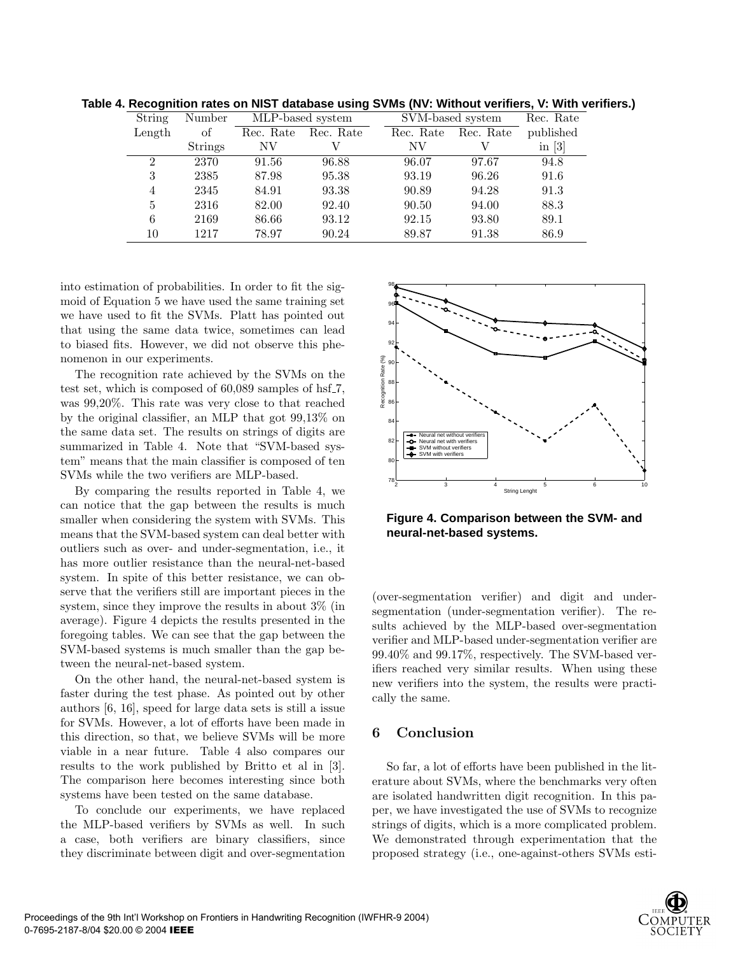|                |                |                  |                     | הוויזי ויטוסטיווייט ווייט א וויסט שטעשועט שטאט וויט טאפאנווויט ווייט ווייט וויטוסטיוויי |                     |           |  |
|----------------|----------------|------------------|---------------------|-----------------------------------------------------------------------------------------|---------------------|-----------|--|
| String         | Number         | MLP-based system |                     |                                                                                         | SVM-based system    | Rec. Rate |  |
| Length         | οf             |                  | Rec. Rate Rec. Rate |                                                                                         | Rec. Rate Rec. Rate | published |  |
|                | <b>Strings</b> | NV.              |                     | NV                                                                                      |                     | in $[3]$  |  |
| $\overline{2}$ | 2370           | 91.56            | 96.88               | 96.07                                                                                   | 97.67               | 94.8      |  |
| 3              | 2385           | 87.98            | 95.38               | 93.19                                                                                   | 96.26               | 91.6      |  |
| 4              | 2345           | 84.91            | 93.38               | 90.89                                                                                   | 94.28               | 91.3      |  |
| 5              | 2316           | 82.00            | 92.40               | 90.50                                                                                   | 94.00               | 88.3      |  |
| 6              | 2169           | 86.66            | 93.12               | 92.15                                                                                   | 93.80               | 89.1      |  |
| 10             | 1217           | 78.97            | 90.24               | 89.87                                                                                   | 91.38               | 86.9      |  |

**Table 4. Recognition rates on NIST database using SVMs (NV: Without verifiers, V: With verifiers.)**

into estimation of probabilities. In order to fit the sigmoid of Equation 5 we have used the same training set we have used to fit the SVMs. Platt has pointed out that using the same data twice, sometimes can lead to biased fits. However, we did not observe this phenomenon in our experiments.

The recognition rate achieved by the SVMs on the test set, which is composed of  $60,089$  samples of hsf<sub>-7</sub>, was 99,20%. This rate was very close to that reached by the original classifier, an MLP that got 99,13% on the same data set. The results on strings of digits are summarized in Table 4. Note that "SVM-based system" means that the main classifier is composed of ten SVMs while the two verifiers are MLP-based.

By comparing the results reported in Table 4, we can notice that the gap between the results is much smaller when considering the system with SVMs. This means that the SVM-based system can deal better with outliers such as over- and under-segmentation, i.e., it has more outlier resistance than the neural-net-based system. In spite of this better resistance, we can observe that the verifiers still are important pieces in the system, since they improve the results in about 3% (in average). Figure 4 depicts the results presented in the foregoing tables. We can see that the gap between the SVM-based systems is much smaller than the gap between the neural-net-based system.

On the other hand, the neural-net-based system is faster during the test phase. As pointed out by other authors [6, 16], speed for large data sets is still a issue for SVMs. However, a lot of efforts have been made in this direction, so that, we believe SVMs will be more viable in a near future. Table 4 also compares our results to the work published by Britto et al in [3]. The comparison here becomes interesting since both systems have been tested on the same database.

To conclude our experiments, we have replaced the MLP-based verifiers by SVMs as well. In such a case, both verifiers are binary classifiers, since they discriminate between digit and over-segmentation



**Figure 4. Comparison between the SVM- and neural-net-based systems.**

(over-segmentation verifier) and digit and undersegmentation (under-segmentation verifier). The results achieved by the MLP-based over-segmentation verifier and MLP-based under-segmentation verifier are 99.40% and 99.17%, respectively. The SVM-based verifiers reached very similar results. When using these new verifiers into the system, the results were practically the same.

## 6 Conclusion

So far, a lot of efforts have been published in the literature about SVMs, where the benchmarks very often are isolated handwritten digit recognition. In this paper, we have investigated the use of SVMs to recognize strings of digits, which is a more complicated problem. We demonstrated through experimentation that the proposed strategy (i.e., one-against-others SVMs esti-